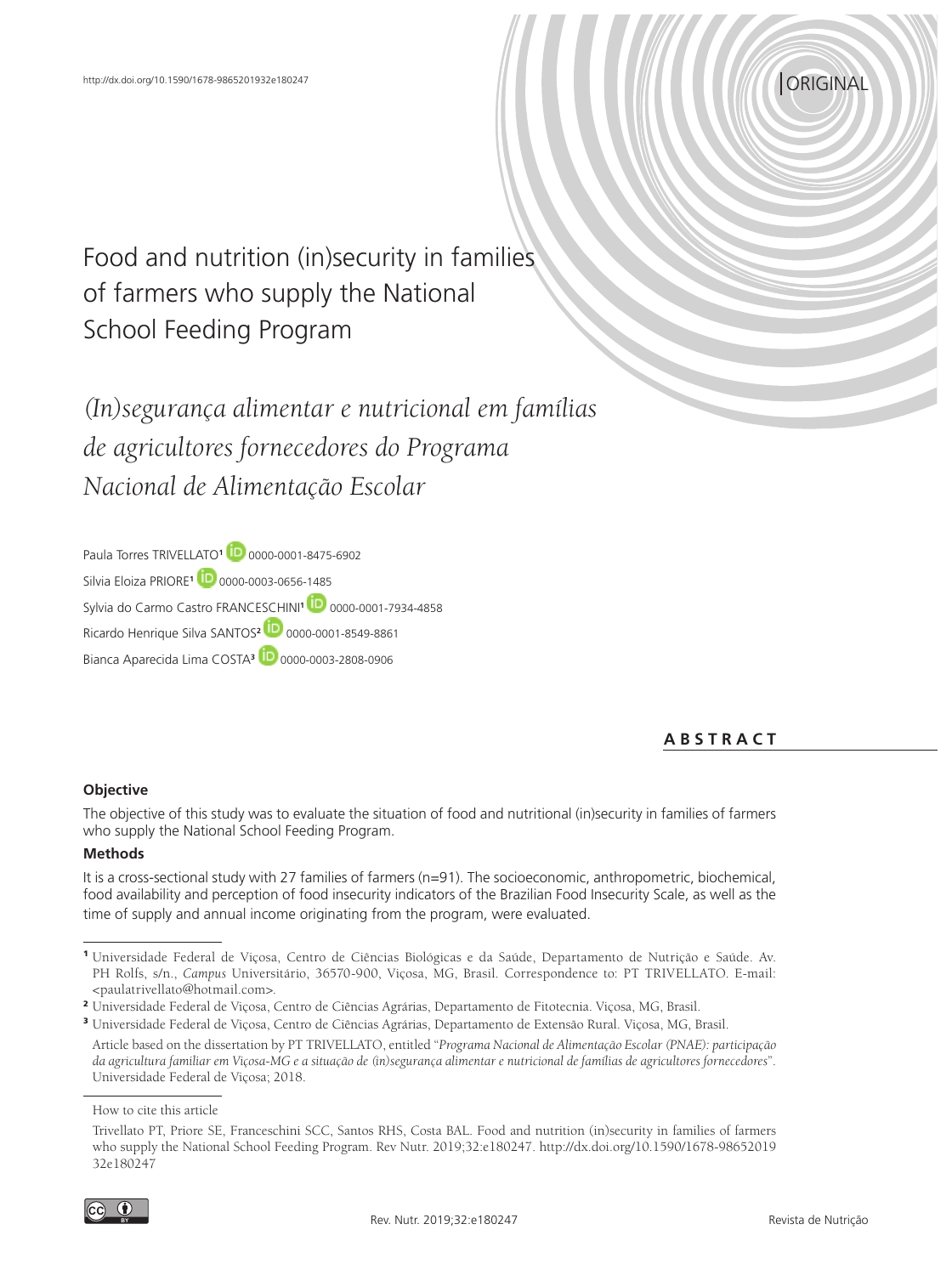# *CORIGINAL*

Food and nutrition (in)security in families of farmers who supply the National School Feeding Program

*(In)segurança alimentar e nutricional em famílias de agricultores fornecedores do Programa Nacional de Alimentação Escolar*

Paula Torres TRIVELLATO**<sup>1</sup>** 0000-0001-8475-6902 Silvia Eloiza PRIORE**<sup>1</sup>** 0000-0003-0656-1485 Sylvia do Carmo Castro FRANCESCHINI**<sup>1</sup>** 0000-0001-7934-4858 Ricardo Henrique Silva SANTOS**<sup>2</sup>** 0000-0001-8549-8861 Bianca Aparecida Lima COSTA**<sup>3</sup>** 0000-0003-2808-0906

**A B S T R A C T**

## **Objective**

The objective of this study was to evaluate the situation of food and nutritional (in)security in families of farmers who supply the National School Feeding Program.

## **Methods**

It is a cross-sectional study with 27 families of farmers (n=91). The socioeconomic, anthropometric, biochemical, food availability and perception of food insecurity indicators of the Brazilian Food Insecurity Scale, as well as the time of supply and annual income originating from the program, were evaluated.

<sup>1</sup> Universidade Federal de Viçosa, Centro de Ciências Biológicas e da Saúde, Departamento de Nutrição e Saúde. Av. PH Rolfs, s/n., *Campus* Universitário, 36570-900, Viçosa, MG, Brasil. Correspondence to: PT TRIVELLATO. E-mail: <paulatrivellato@hotmail.com>.

<sup>2</sup> Universidade Federal de Viçosa, Centro de Ciências Agrárias, Departamento de Fitotecnia. Viçosa, MG, Brasil.

<sup>3</sup> Universidade Federal de Viçosa, Centro de Ciências Agrárias, Departamento de Extensão Rural. Viçosa, MG, Brasil.

Article based on the dissertation by PT TRIVELLATO, entitled "*Programa Nacional de Alimentação Escolar (PNAE): participação da agricultura familiar em Viçosa-MG e a situação de (in)segurança alimentar e nutricional de famílias de agricultores fornecedores*". Universidade Federal de Viçosa; 2018.

How to cite this article

Trivellato PT, Priore SE, Franceschini SCC, Santos RHS, Costa BAL. Food and nutrition (in)security in families of farmers who supply the National School Feeding Program. Rev Nutr. 2019;32:e180247. http://dx.doi.org/10.1590/1678-98652019 32e180247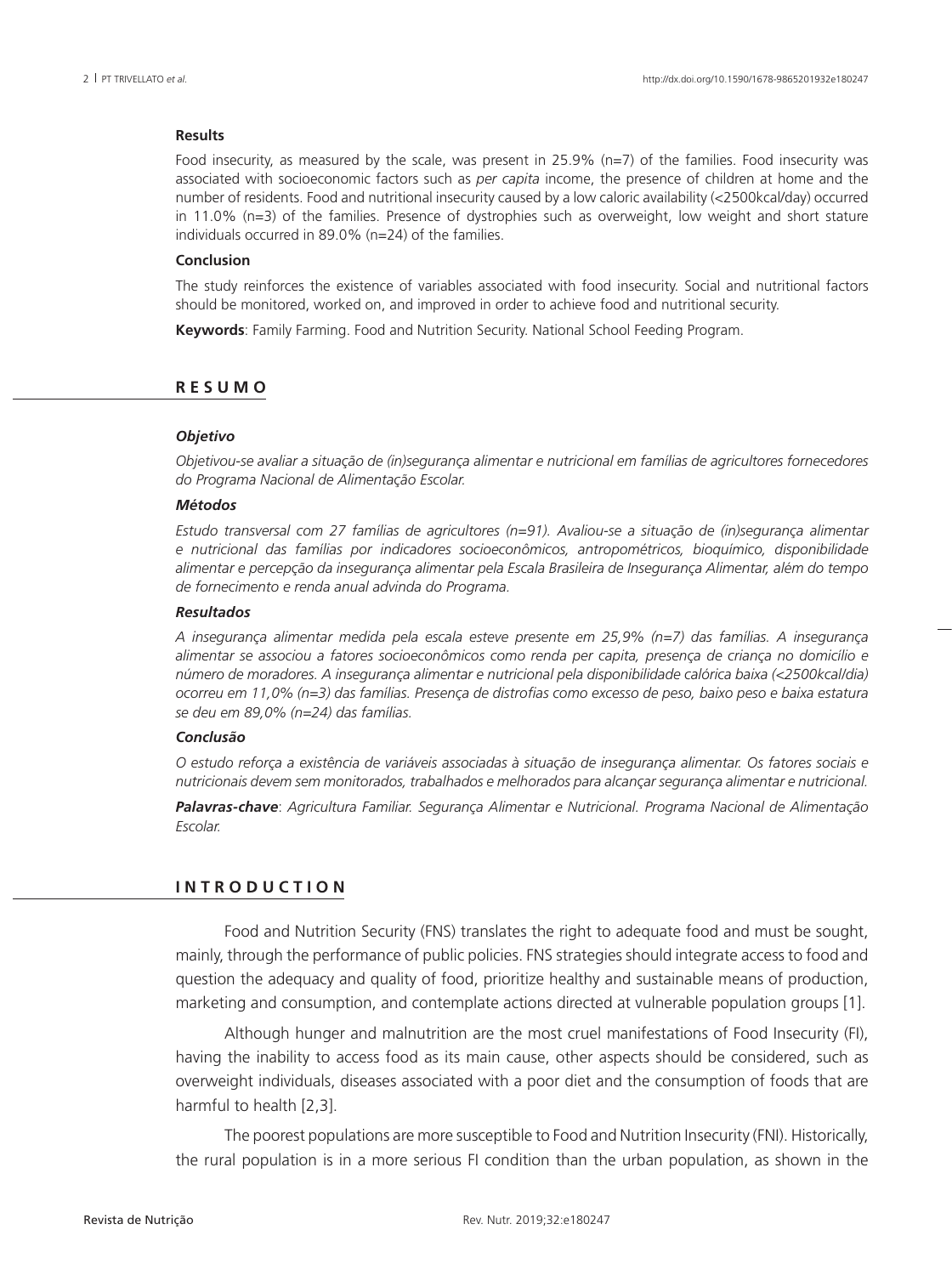#### **Results**

Food insecurity, as measured by the scale, was present in 25.9% (n=7) of the families. Food insecurity was associated with socioeconomic factors such as *per capita* income, the presence of children at home and the number of residents. Food and nutritional insecurity caused by a low caloric availability (<2500kcal/day) occurred in 11.0% (n=3) of the families. Presence of dystrophies such as overweight, low weight and short stature individuals occurred in 89.0% (n=24) of the families.

#### **Conclusion**

The study reinforces the existence of variables associated with food insecurity. Social and nutritional factors should be monitored, worked on, and improved in order to achieve food and nutritional security.

**Keywords**: Family Farming. Food and Nutrition Security. National School Feeding Program.

## **R E S U M O**

#### *Objetivo*

*Objetivou-se avaliar a situação de (in)segurança alimentar e nutricional em famílias de agricultores fornecedores do Programa Nacional de Alimentação Escolar.* 

#### *Métodos*

*Estudo transversal com 27 famílias de agricultores (n=91). Avaliou-se a situação de (in)segurança alimentar e nutricional das famílias por indicadores socioeconômicos, antropométricos, bioquímico, disponibilidade alimentar e percepção da insegurança alimentar pela Escala Brasileira de Insegurança Alimentar, além do tempo de fornecimento e renda anual advinda do Programa.* 

#### *Resultados*

*A insegurança alimentar medida pela escala esteve presente em 25,9% (n=7) das famílias. A insegurança alimentar se associou a fatores socioeconômicos como renda per capita, presença de criança no domicílio e número de moradores. A insegurança alimentar e nutricional pela disponibilidade calórica baixa (<2500kcal/dia) ocorreu em 11,0% (n=3) das famílias. Presença de distrofias como excesso de peso, baixo peso e baixa estatura se deu em 89,0% (n=24) das famílias.* 

#### *Conclusão*

*O estudo reforça a existência de variáveis associadas à situação de insegurança alimentar. Os fatores sociais e nutricionais devem sem monitorados, trabalhados e melhorados para alcançar segurança alimentar e nutricional.* 

*Palavras-chave*: *Agricultura Familiar. Segurança Alimentar e Nutricional. Programa Nacional de Alimentação Escolar.* 

## **I N T R O D U C T I O N**

Food and Nutrition Security (FNS) translates the right to adequate food and must be sought, mainly, through the performance of public policies. FNS strategies should integrate access to food and question the adequacy and quality of food, prioritize healthy and sustainable means of production, marketing and consumption, and contemplate actions directed at vulnerable population groups [1].

Although hunger and malnutrition are the most cruel manifestations of Food Insecurity (FI), having the inability to access food as its main cause, other aspects should be considered, such as overweight individuals, diseases associated with a poor diet and the consumption of foods that are harmful to health [2,3].

The poorest populations are more susceptible to Food and Nutrition Insecurity (FNI). Historically, the rural population is in a more serious FI condition than the urban population, as shown in the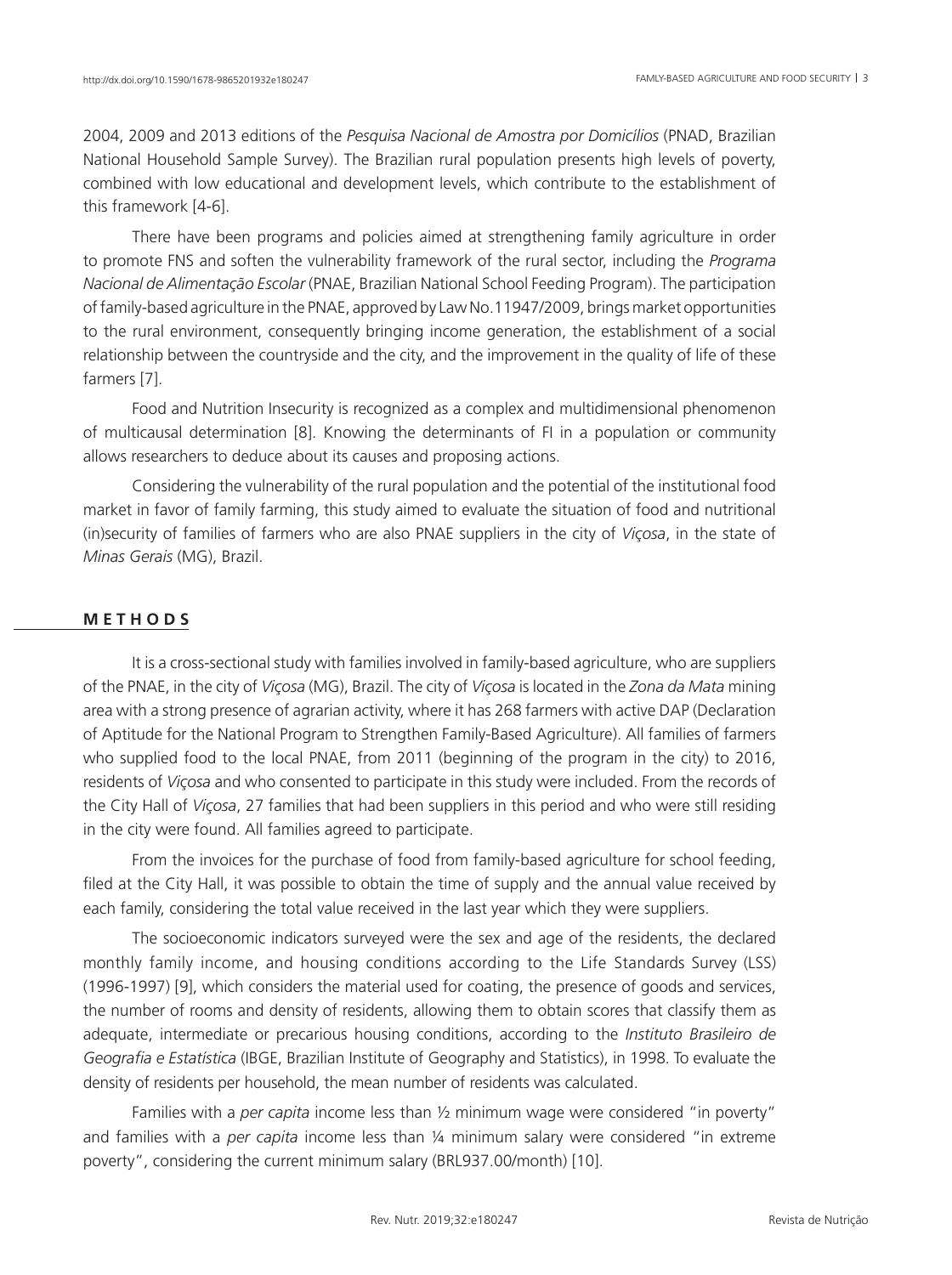2004, 2009 and 2013 editions of the *Pesquisa Nacional de Amostra por Domicílios* (PNAD, Brazilian National Household Sample Survey). The Brazilian rural population presents high levels of poverty, combined with low educational and development levels, which contribute to the establishment of this framework [4-6].

There have been programs and policies aimed at strengthening family agriculture in order to promote FNS and soften the vulnerability framework of the rural sector, including the *Programa Nacional de Alimentação Escolar* (PNAE, Brazilian National School Feeding Program). The participation of family-based agriculture in the PNAE, approved by Law No.11947/2009, brings market opportunities to the rural environment, consequently bringing income generation, the establishment of a social relationship between the countryside and the city, and the improvement in the quality of life of these farmers [7].

Food and Nutrition Insecurity is recognized as a complex and multidimensional phenomenon of multicausal determination [8]. Knowing the determinants of FI in a population or community allows researchers to deduce about its causes and proposing actions.

Considering the vulnerability of the rural population and the potential of the institutional food market in favor of family farming, this study aimed to evaluate the situation of food and nutritional (in)security of families of farmers who are also PNAE suppliers in the city of *Viçosa*, in the state of *Minas Gerais* (MG), Brazil.

## **M E T H O D S**

It is a cross-sectional study with families involved in family-based agriculture, who are suppliers of the PNAE, in the city of *Viçosa* (MG), Brazil. The city of *Viçosa* is located in the *Zona da Mata* mining area with a strong presence of agrarian activity, where it has 268 farmers with active DAP (Declaration of Aptitude for the National Program to Strengthen Family-Based Agriculture). All families of farmers who supplied food to the local PNAE, from 2011 (beginning of the program in the city) to 2016, residents of *Viçosa* and who consented to participate in this study were included. From the records of the City Hall of *Viçosa*, 27 families that had been suppliers in this period and who were still residing in the city were found. All families agreed to participate.

From the invoices for the purchase of food from family-based agriculture for school feeding, filed at the City Hall, it was possible to obtain the time of supply and the annual value received by each family, considering the total value received in the last year which they were suppliers.

The socioeconomic indicators surveyed were the sex and age of the residents, the declared monthly family income, and housing conditions according to the Life Standards Survey (LSS) (1996-1997) [9], which considers the material used for coating, the presence of goods and services, the number of rooms and density of residents, allowing them to obtain scores that classify them as adequate, intermediate or precarious housing conditions, according to the *Instituto Brasileiro de Geografia e Estatística* (IBGE, Brazilian Institute of Geography and Statistics), in 1998. To evaluate the density of residents per household, the mean number of residents was calculated.

Families with a *per capita* income less than ½ minimum wage were considered "in poverty" and families with a *per capita* income less than ¼ minimum salary were considered "in extreme poverty", considering the current minimum salary (BRL937.00/month) [10].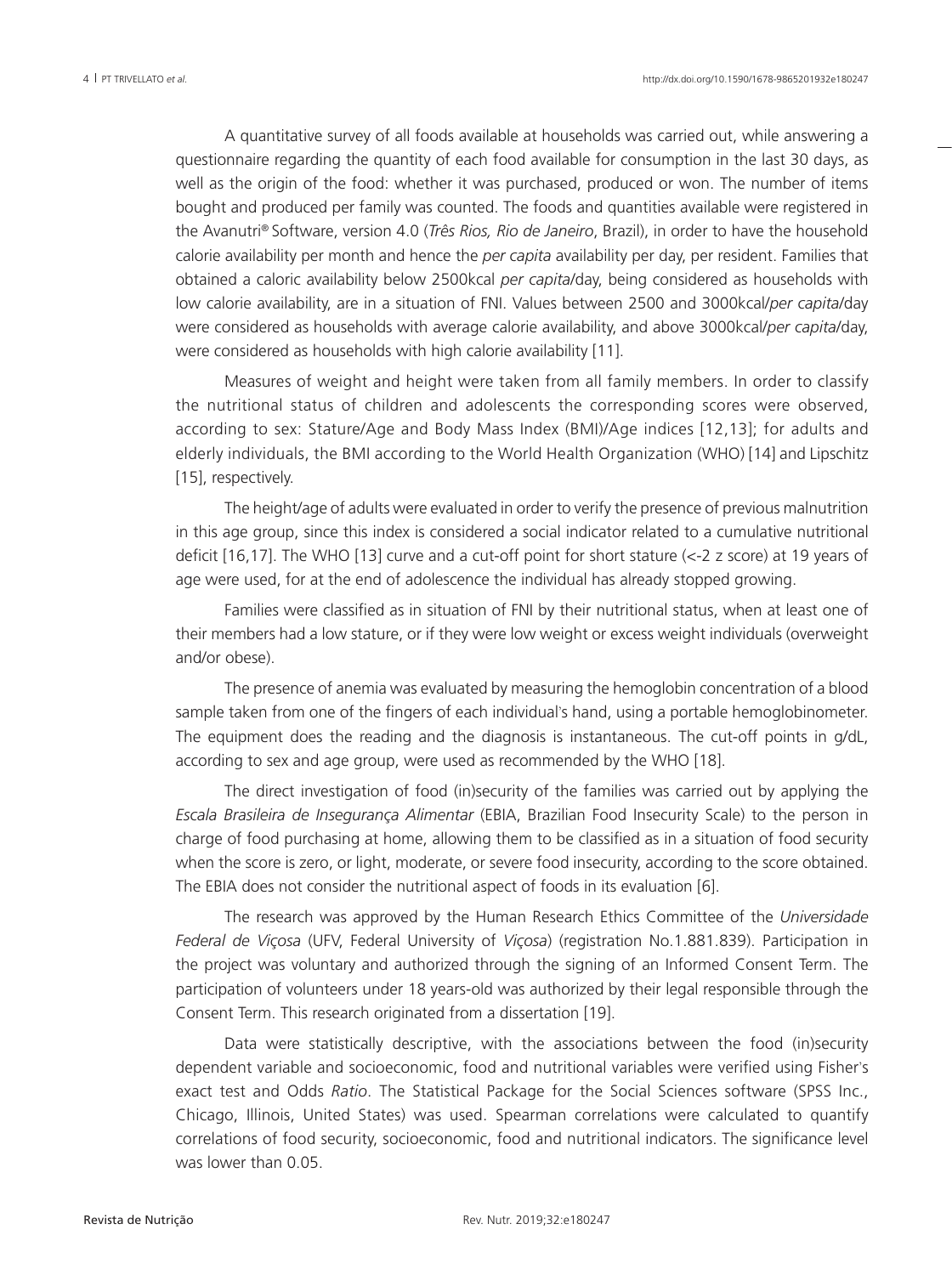A quantitative survey of all foods available at households was carried out, while answering a questionnaire regarding the quantity of each food available for consumption in the last 30 days, as well as the origin of the food: whether it was purchased, produced or won. The number of items bought and produced per family was counted. The foods and quantities available were registered in the Avanutri® Software, version 4.0 (*Três Rios, Rio de Janeiro*, Brazil), in order to have the household calorie availability per month and hence the *per capita* availability per day, per resident. Families that obtained a caloric availability below 2500kcal *per capita*/day, being considered as households with low calorie availability, are in a situation of FNI. Values between 2500 and 3000kcal/*per capita*/day were considered as households with average calorie availability, and above 3000kcal/*per capita*/day, were considered as households with high calorie availability [11].

Measures of weight and height were taken from all family members. In order to classify the nutritional status of children and adolescents the corresponding scores were observed, according to sex: Stature/Age and Body Mass Index (BMI)/Age indices [12,13]; for adults and elderly individuals, the BMI according to the World Health Organization (WHO) [14] and Lipschitz [15], respectively.

The height/age of adults were evaluated in order to verify the presence of previous malnutrition in this age group, since this index is considered a social indicator related to a cumulative nutritional deficit [16,17]. The WHO [13] curve and a cut-off point for short stature (<-2 z score) at 19 years of age were used, for at the end of adolescence the individual has already stopped growing.

Families were classified as in situation of FNI by their nutritional status, when at least one of their members had a low stature, or if they were low weight or excess weight individuals (overweight and/or obese).

The presence of anemia was evaluated by measuring the hemoglobin concentration of a blood sample taken from one of the fingers of each individual's hand, using a portable hemoglobinometer. The equipment does the reading and the diagnosis is instantaneous. The cut-off points in g/dL, according to sex and age group, were used as recommended by the WHO [18].

The direct investigation of food (in)security of the families was carried out by applying the *Escala Brasileira de Insegurança Alimentar* (EBIA, Brazilian Food Insecurity Scale) to the person in charge of food purchasing at home, allowing them to be classified as in a situation of food security when the score is zero, or light, moderate, or severe food insecurity, according to the score obtained. The EBIA does not consider the nutritional aspect of foods in its evaluation [6].

The research was approved by the Human Research Ethics Committee of the *Universidade Federal de Viçosa* (UFV, Federal University of *Viçosa*) (registration No.1.881.839). Participation in the project was voluntary and authorized through the signing of an Informed Consent Term. The participation of volunteers under 18 years-old was authorized by their legal responsible through the Consent Term. This research originated from a dissertation [19].

Data were statistically descriptive, with the associations between the food (in)security dependent variable and socioeconomic, food and nutritional variables were verified using Fisher's exact test and Odds *Ratio*. The Statistical Package for the Social Sciences software (SPSS Inc., Chicago, Illinois, United States) was used. Spearman correlations were calculated to quantify correlations of food security, socioeconomic, food and nutritional indicators. The significance level was lower than 0.05.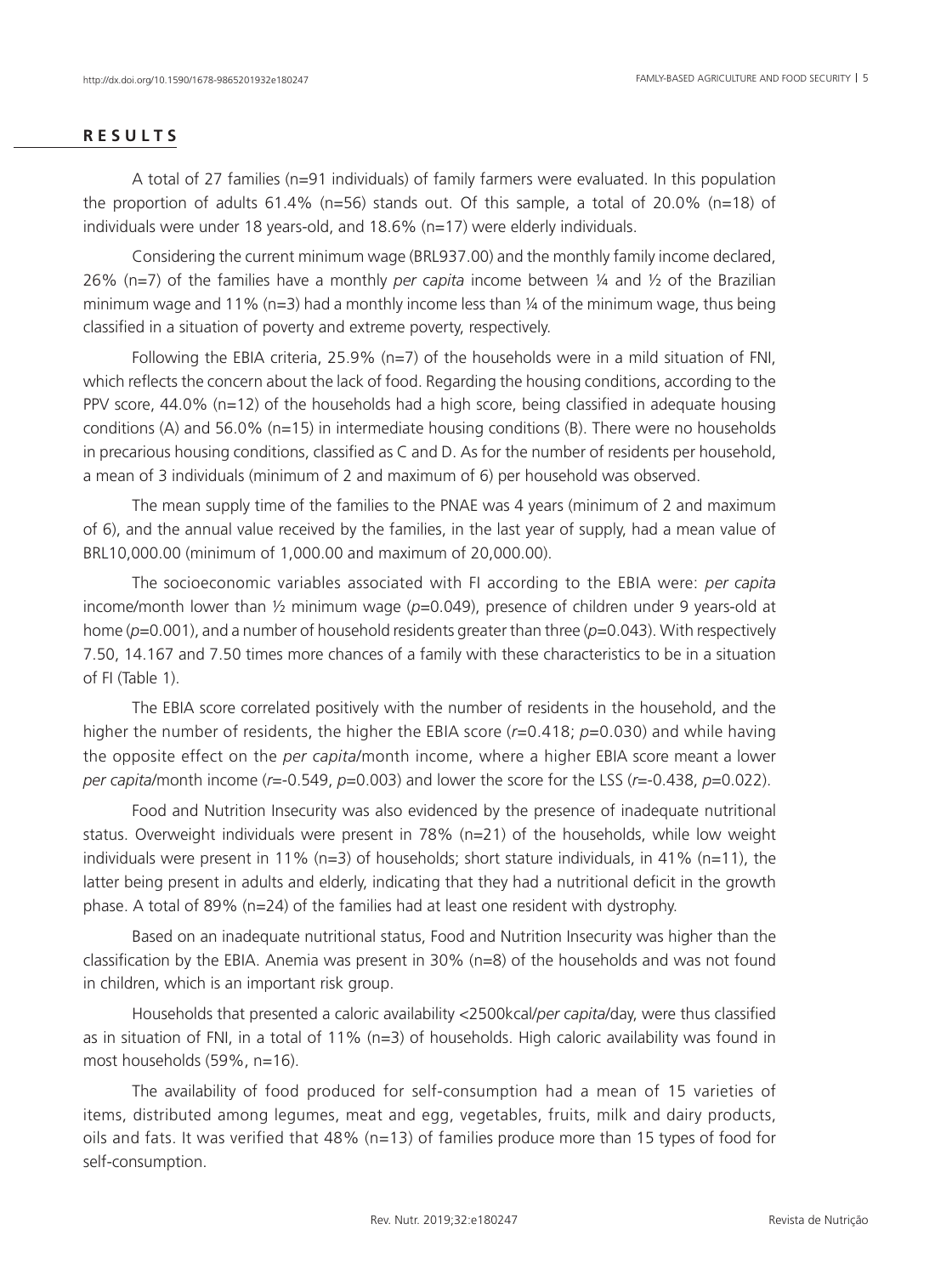# **R E S U L T S**

A total of 27 families (n=91 individuals) of family farmers were evaluated. In this population the proportion of adults 61.4% (n=56) stands out. Of this sample, a total of 20.0% (n=18) of individuals were under 18 years-old, and 18.6% (n=17) were elderly individuals.

Considering the current minimum wage (BRL937.00) and the monthly family income declared, 26% (n=7) of the families have a monthly *per capita* income between ¼ and ½ of the Brazilian minimum wage and 11% ( $n=3$ ) had a monthly income less than  $\frac{1}{4}$  of the minimum wage, thus being classified in a situation of poverty and extreme poverty, respectively.

Following the EBIA criteria, 25.9% ( $n=7$ ) of the households were in a mild situation of FNI, which reflects the concern about the lack of food. Regarding the housing conditions, according to the PPV score, 44.0% (n=12) of the households had a high score, being classified in adequate housing conditions (A) and 56.0% (n=15) in intermediate housing conditions (B). There were no households in precarious housing conditions, classified as C and D. As for the number of residents per household, a mean of 3 individuals (minimum of 2 and maximum of 6) per household was observed.

The mean supply time of the families to the PNAE was 4 years (minimum of 2 and maximum of 6), and the annual value received by the families, in the last year of supply, had a mean value of BRL10,000.00 (minimum of 1,000.00 and maximum of 20,000.00).

The socioeconomic variables associated with FI according to the EBIA were: *per capita* income/month lower than 1/<sub>2</sub> minimum wage ( $p=0.049$ ), presence of children under 9 years-old at home (*p*=0.001), and a number of household residents greater than three (*p*=0.043). With respectively 7.50, 14.167 and 7.50 times more chances of a family with these characteristics to be in a situation of FI (Table 1).

The EBIA score correlated positively with the number of residents in the household, and the higher the number of residents, the higher the EBIA score (*r*=0.418; *p*=0.030) and while having the opposite effect on the *per capita*/month income, where a higher EBIA score meant a lower *per capita*/month income (*r*=-0.549, *p*=0.003) and lower the score for the LSS (*r*=-0.438, *p*=0.022).

Food and Nutrition Insecurity was also evidenced by the presence of inadequate nutritional status. Overweight individuals were present in 78% (n=21) of the households, while low weight individuals were present in 11% ( $n=3$ ) of households; short stature individuals, in 41% ( $n=11$ ), the latter being present in adults and elderly, indicating that they had a nutritional deficit in the growth phase. A total of 89% (n=24) of the families had at least one resident with dystrophy.

Based on an inadequate nutritional status, Food and Nutrition Insecurity was higher than the classification by the EBIA. Anemia was present in 30% (n=8) of the households and was not found in children, which is an important risk group.

Households that presented a caloric availability <2500kcal/*per capita*/day, were thus classified as in situation of FNI, in a total of 11% (n=3) of households. High caloric availability was found in most households (59%, n=16).

The availability of food produced for self-consumption had a mean of 15 varieties of items, distributed among legumes, meat and egg, vegetables, fruits, milk and dairy products, oils and fats. It was verified that 48% (n=13) of families produce more than 15 types of food for self-consumption.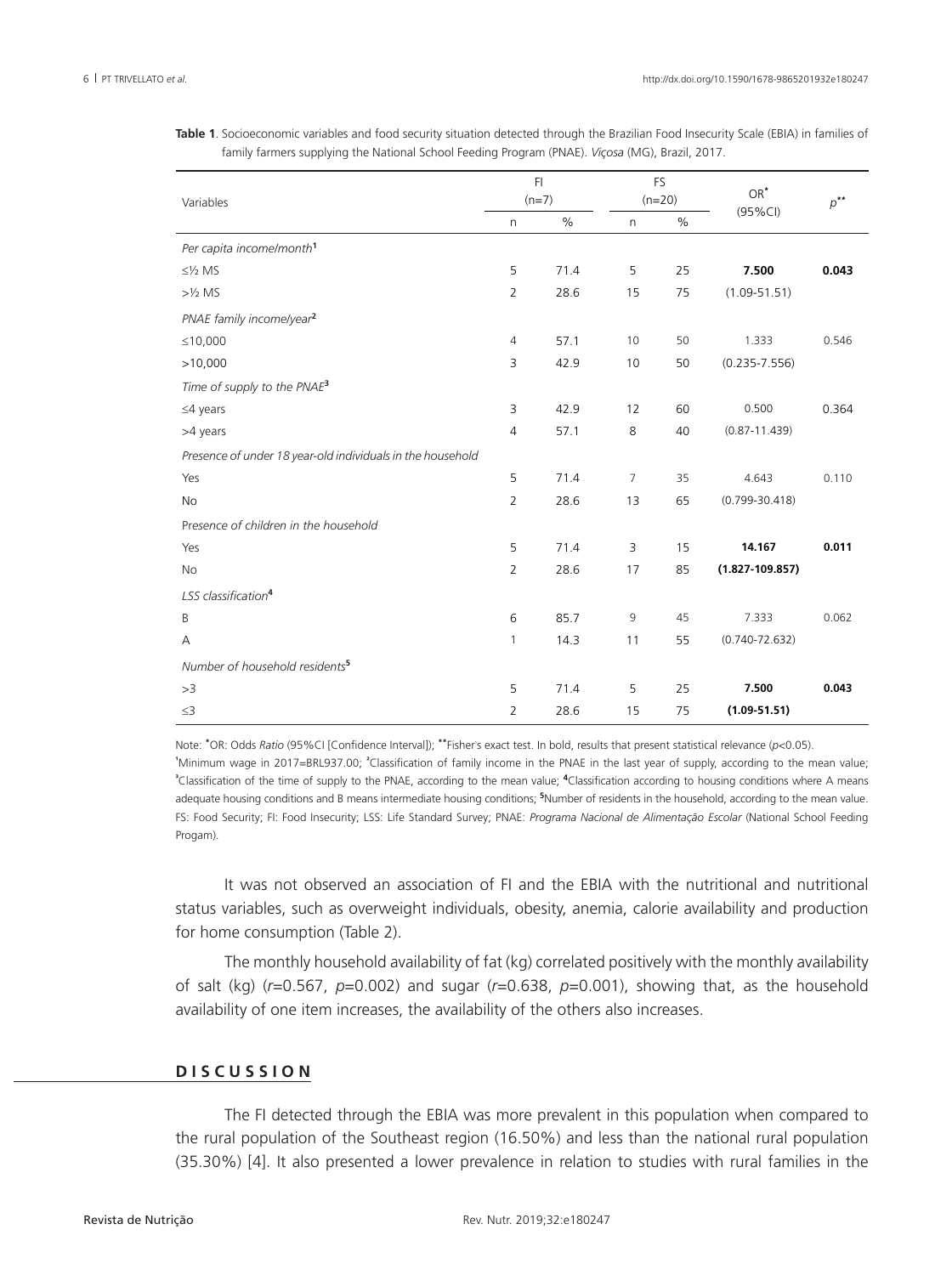| Variables                                                  |                | FI.     |    | <b>FS</b> | $OR^*$<br>$(95\%CI)$ | $p^{\ast \ast}$ |
|------------------------------------------------------------|----------------|---------|----|-----------|----------------------|-----------------|
|                                                            |                | $(n=7)$ |    | $(n=20)$  |                      |                 |
|                                                            | n              | $\%$    | n. | $\%$      |                      |                 |
| Per capita income/month <sup>1</sup>                       |                |         |    |           |                      |                 |
| $\leq$ /2 MS                                               | 5              | 71.4    | 5  | 25        | 7.500                | 0.043           |
| $>1/2$ MS                                                  | $\overline{2}$ | 28.6    | 15 | 75        | $(1.09 - 51.51)$     |                 |
| PNAE family income/year <sup>2</sup>                       |                |         |    |           |                      |                 |
| ≤10,000                                                    | 4              | 57.1    | 10 | 50        | 1.333                | 0.546           |
| >10,000                                                    | 3              | 42.9    | 10 | 50        | $(0.235 - 7.556)$    |                 |
| Time of supply to the PNAE <sup>3</sup>                    |                |         |    |           |                      |                 |
| $\leq 4$ years                                             | 3              | 42.9    | 12 | 60        | 0.500                | 0.364           |
| >4 years                                                   | 4              | 57.1    | 8  | 40        | $(0.87 - 11.439)$    |                 |
| Presence of under 18 year-old individuals in the household |                |         |    |           |                      |                 |
| Yes                                                        | 5              | 71.4    | 7  | 35        | 4.643                | 0.110           |
| No                                                         | $\overline{2}$ | 28.6    | 13 | 65        | $(0.799 - 30.418)$   |                 |
| Presence of children in the household                      |                |         |    |           |                      |                 |
| Yes                                                        | 5              | 71.4    | 3  | 15        | 14.167               | 0.011           |
| <b>No</b>                                                  | $\overline{2}$ | 28.6    | 17 | 85        | $(1.827 - 109.857)$  |                 |
| LSS classification <sup>4</sup>                            |                |         |    |           |                      |                 |
| B                                                          | 6              | 85.7    | 9  | 45        | 7.333                | 0.062           |
| Α                                                          | $\mathbf{1}$   | 14.3    | 11 | 55        | $(0.740 - 72.632)$   |                 |
| Number of household residents <sup>5</sup>                 |                |         |    |           |                      |                 |
| >3                                                         | 5              | 71.4    | 5  | 25        | 7.500                | 0.043           |
| $\leq$ 3                                                   | $\overline{2}$ | 28.6    | 15 | 75        | $(1.09 - 51.51)$     |                 |

**Table 1**. Socioeconomic variables and food security situation detected through the Brazilian Food Insecurity Scale (EBIA) in families of family farmers supplying the National School Feeding Program (PNAE). *Viçosa* (MG), Brazil, 2017.

Note: **\*** OR: Odds *Ratio* (95%CI [Confidence Interval]); **\*\***Fisher's exact test. In bold, results that present statistical relevance (*p*<0.05). **¹** Minimum wage in 2017=BRL937.00; **<sup>²</sup>** Classification of family income in the PNAE in the last year of supply, according to the mean value; **³** Classification of the time of supply to the PNAE, according to the mean value; **<sup>4</sup>** Classification according to housing conditions where A means adequate housing conditions and B means intermediate housing conditions; **<sup>5</sup>** Number of residents in the household, according to the mean value. FS: Food Security; FI: Food Insecurity; LSS: Life Standard Survey; PNAE: *Programa Nacional de Alimentação Escolar* (National School Feeding Progam).

It was not observed an association of FI and the EBIA with the nutritional and nutritional status variables, such as overweight individuals, obesity, anemia, calorie availability and production for home consumption (Table 2).

The monthly household availability of fat (kg) correlated positively with the monthly availability of salt (kg) (*r*=0.567, *p*=0.002) and sugar (*r*=0.638, *p*=0.001), showing that, as the household availability of one item increases, the availability of the others also increases.

# **D I S C U S S I O N**

The FI detected through the EBIA was more prevalent in this population when compared to the rural population of the Southeast region (16.50%) and less than the national rural population (35.30%) [4]. It also presented a lower prevalence in relation to studies with rural families in the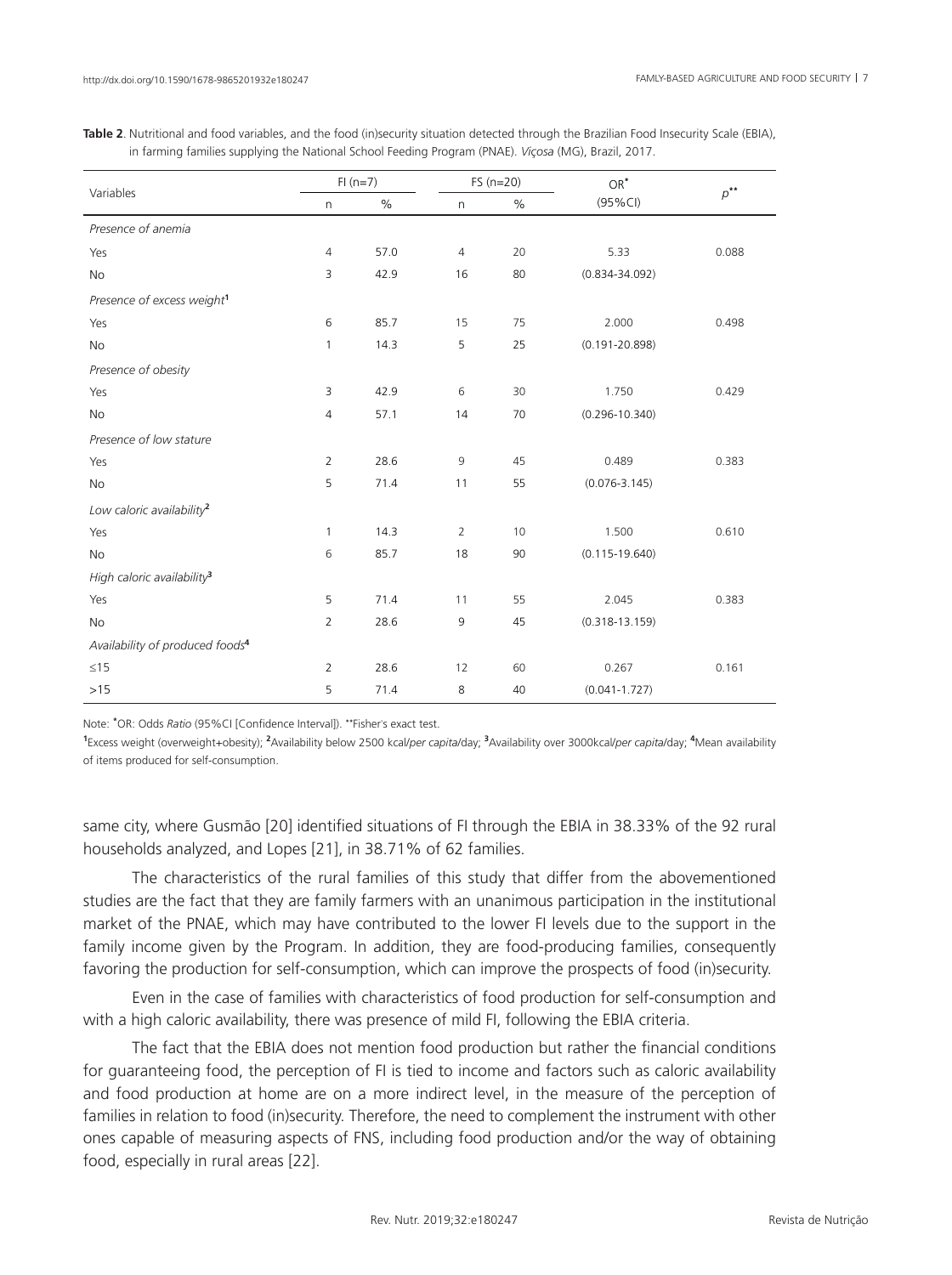|  |                                                                                                      | <b>Table 2</b> . Nutritional and food variables, and the food (in)security situation detected through the Brazilian Food Insecurity Scale (EBIA), |
|--|------------------------------------------------------------------------------------------------------|---------------------------------------------------------------------------------------------------------------------------------------------------|
|  | in farming families supplying the National School Feeding Program (PNAE). Viçosa (MG), Brazil, 2017. |                                                                                                                                                   |

|                                             | $FI(n=7)$      |      |                | $FS(n=20)$ | $OR^*$             |                |
|---------------------------------------------|----------------|------|----------------|------------|--------------------|----------------|
| Variables                                   | $\mathsf{n}$   | $\%$ | n              | $\%$       | $(95\%$ CI)        | $p^{\ast\ast}$ |
| Presence of anemia                          |                |      |                |            |                    |                |
| Yes                                         | $\overline{4}$ | 57.0 | $\overline{4}$ | 20         | 5.33               | 0.088          |
| No                                          | 3              | 42.9 | 16             | 80         | $(0.834 - 34.092)$ |                |
| Presence of excess weight <sup>1</sup>      |                |      |                |            |                    |                |
| Yes                                         | 6              | 85.7 | 15             | 75         | 2.000              | 0.498          |
| No                                          | $\mathbf{1}$   | 14.3 | 5              | 25         | $(0.191 - 20.898)$ |                |
| Presence of obesity                         |                |      |                |            |                    |                |
| Yes                                         | 3              | 42.9 | 6              | 30         | 1.750              | 0.429          |
| No                                          | $\overline{4}$ | 57.1 | 14             | 70         | $(0.296 - 10.340)$ |                |
| Presence of low stature                     |                |      |                |            |                    |                |
| Yes                                         | 2              | 28.6 | 9              | 45         | 0.489              | 0.383          |
| No                                          | 5              | 71.4 | 11             | 55         | $(0.076 - 3.145)$  |                |
| Low caloric availability <sup>2</sup>       |                |      |                |            |                    |                |
| Yes                                         | 1              | 14.3 | 2              | 10         | 1.500              | 0.610          |
| No                                          | $6\,$          | 85.7 | 18             | 90         | $(0.115 - 19.640)$ |                |
| High caloric availability <sup>3</sup>      |                |      |                |            |                    |                |
| Yes                                         | 5              | 71.4 | 11             | 55         | 2.045              | 0.383          |
| <b>No</b>                                   | 2              | 28.6 | 9              | 45         | $(0.318 - 13.159)$ |                |
| Availability of produced foods <sup>4</sup> |                |      |                |            |                    |                |
| $\leq15$                                    | $\overline{2}$ | 28.6 | 12             | 60         | 0.267              | 0.161          |
| $>15$                                       | 5              | 71.4 | 8              | 40         | $(0.041 - 1.727)$  |                |

Note: **\*** OR: Odds *Ratio* (95%CI [Confidence Interval]). **\*\***Fisher's exact test.

**1** Excess weight (overweight+obesity); **<sup>2</sup>** Availability below 2500 kcal/*per capita*/day; **<sup>3</sup>** Availability over 3000kcal/*per capita*/day; **<sup>4</sup>** Mean availability of items produced for self-consumption.

same city, where Gusmão [20] identified situations of FI through the EBIA in 38.33% of the 92 rural households analyzed, and Lopes [21], in 38.71% of 62 families.

The characteristics of the rural families of this study that differ from the abovementioned studies are the fact that they are family farmers with an unanimous participation in the institutional market of the PNAE, which may have contributed to the lower FI levels due to the support in the family income given by the Program. In addition, they are food-producing families, consequently favoring the production for self-consumption, which can improve the prospects of food (in)security.

Even in the case of families with characteristics of food production for self-consumption and with a high caloric availability, there was presence of mild FI, following the EBIA criteria.

The fact that the EBIA does not mention food production but rather the financial conditions for guaranteeing food, the perception of FI is tied to income and factors such as caloric availability and food production at home are on a more indirect level, in the measure of the perception of families in relation to food (in)security. Therefore, the need to complement the instrument with other ones capable of measuring aspects of FNS, including food production and/or the way of obtaining food, especially in rural areas [22].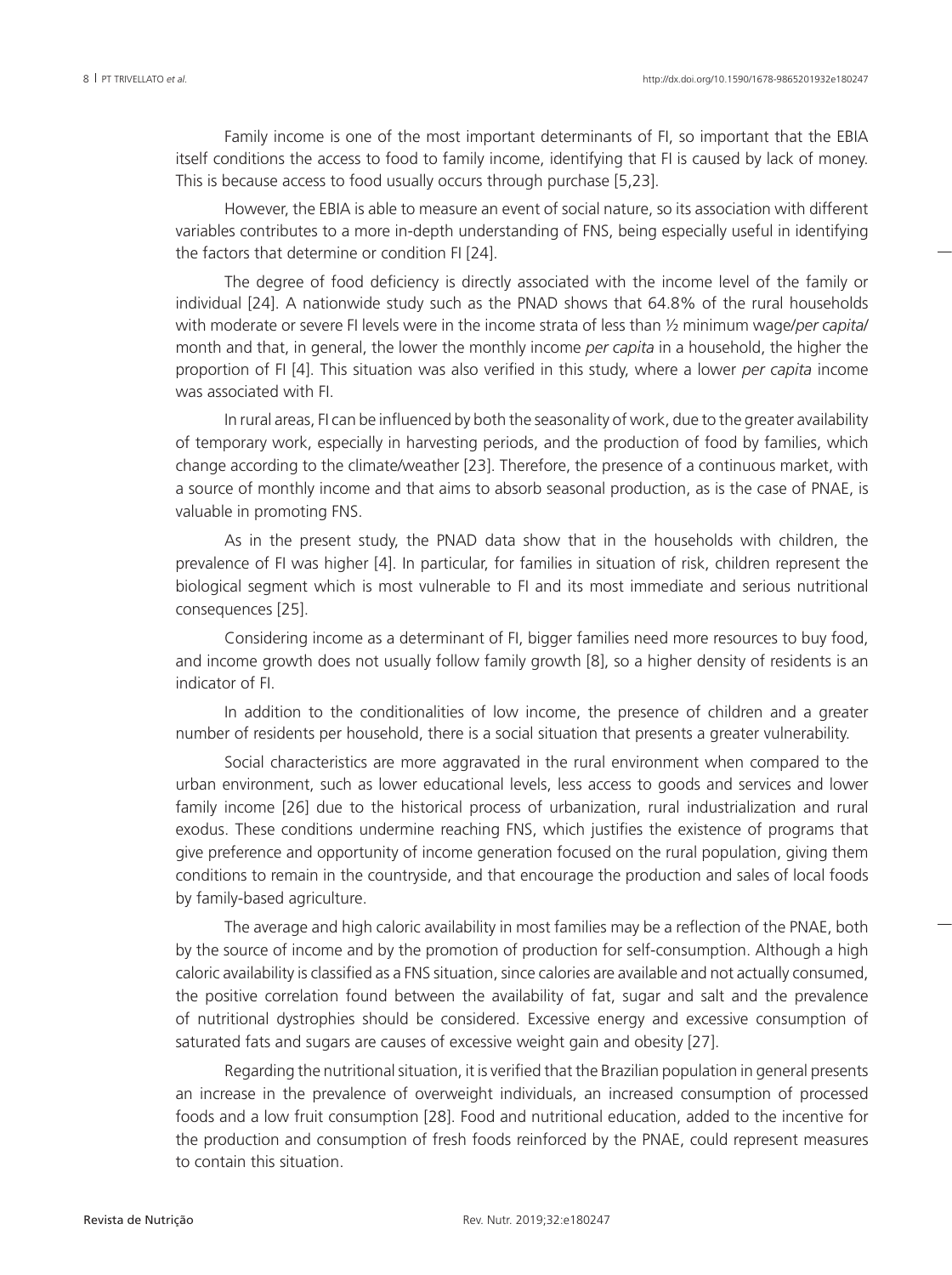Family income is one of the most important determinants of FI, so important that the EBIA itself conditions the access to food to family income, identifying that FI is caused by lack of money. This is because access to food usually occurs through purchase [5,23].

However, the EBIA is able to measure an event of social nature, so its association with different variables contributes to a more in-depth understanding of FNS, being especially useful in identifying the factors that determine or condition FI [24].

The degree of food deficiency is directly associated with the income level of the family or individual [24]. A nationwide study such as the PNAD shows that 64.8% of the rural households with moderate or severe FI levels were in the income strata of less than ½ minimum wage/*per capita*/ month and that, in general, the lower the monthly income *per capita* in a household, the higher the proportion of FI [4]. This situation was also verified in this study, where a lower *per capita* income was associated with FI.

In rural areas, FI can be influenced by both the seasonality of work, due to the greater availability of temporary work, especially in harvesting periods, and the production of food by families, which change according to the climate/weather [23]. Therefore, the presence of a continuous market, with a source of monthly income and that aims to absorb seasonal production, as is the case of PNAE, is valuable in promoting FNS.

As in the present study, the PNAD data show that in the households with children, the prevalence of FI was higher [4]. In particular, for families in situation of risk, children represent the biological segment which is most vulnerable to FI and its most immediate and serious nutritional consequences [25].

Considering income as a determinant of FI, bigger families need more resources to buy food, and income growth does not usually follow family growth [8], so a higher density of residents is an indicator of FI.

In addition to the conditionalities of low income, the presence of children and a greater number of residents per household, there is a social situation that presents a greater vulnerability.

Social characteristics are more aggravated in the rural environment when compared to the urban environment, such as lower educational levels, less access to goods and services and lower family income [26] due to the historical process of urbanization, rural industrialization and rural exodus. These conditions undermine reaching FNS, which justifies the existence of programs that give preference and opportunity of income generation focused on the rural population, giving them conditions to remain in the countryside, and that encourage the production and sales of local foods by family-based agriculture.

The average and high caloric availability in most families may be a reflection of the PNAE, both by the source of income and by the promotion of production for self-consumption. Although a high caloric availability is classified as a FNS situation, since calories are available and not actually consumed, the positive correlation found between the availability of fat, sugar and salt and the prevalence of nutritional dystrophies should be considered. Excessive energy and excessive consumption of saturated fats and sugars are causes of excessive weight gain and obesity [27].

Regarding the nutritional situation, it is verified that the Brazilian population in general presents an increase in the prevalence of overweight individuals, an increased consumption of processed foods and a low fruit consumption [28]. Food and nutritional education, added to the incentive for the production and consumption of fresh foods reinforced by the PNAE, could represent measures to contain this situation.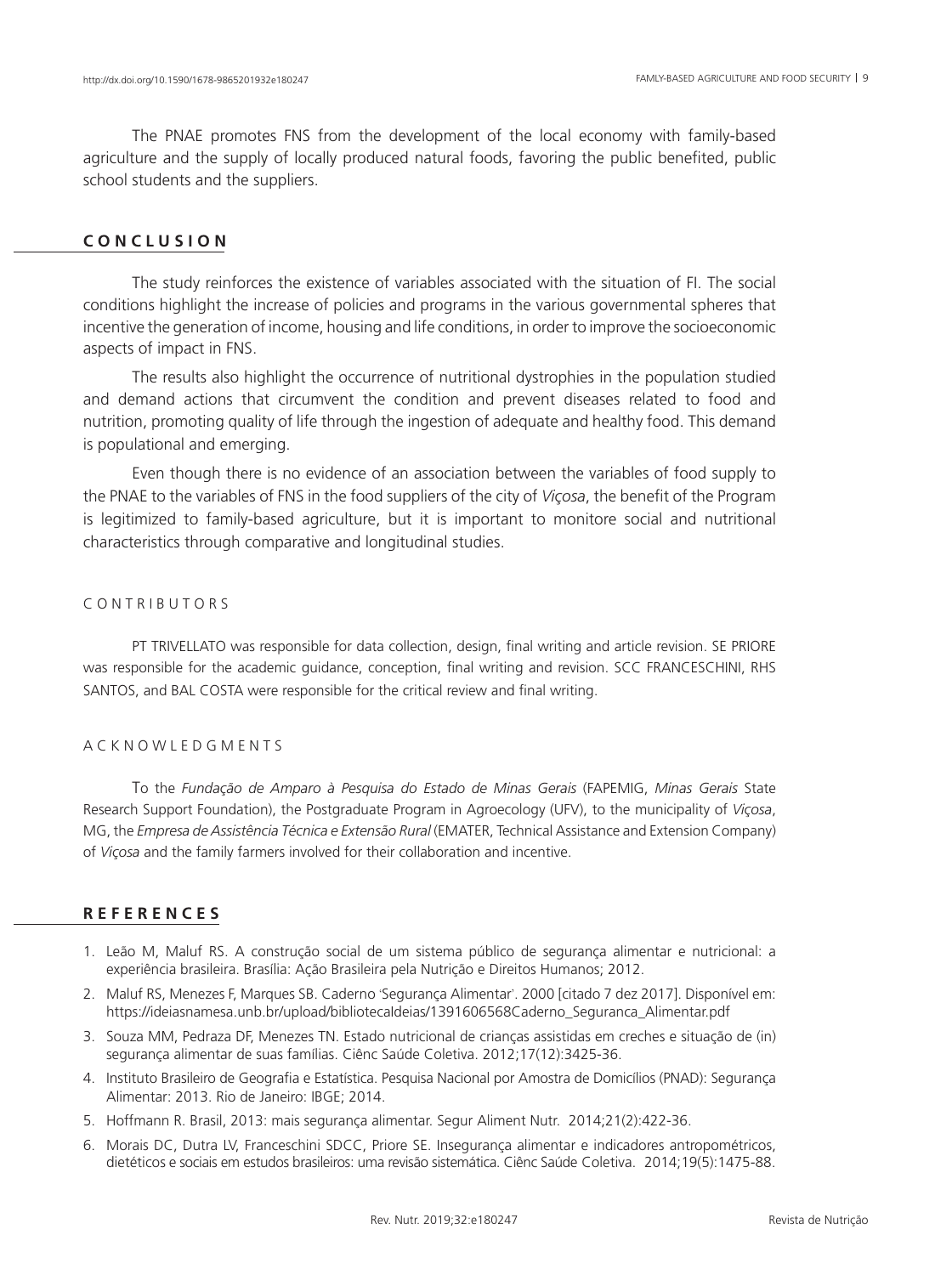The PNAE promotes FNS from the development of the local economy with family-based agriculture and the supply of locally produced natural foods, favoring the public benefited, public school students and the suppliers.

# **C O N C L U S I O N**

The study reinforces the existence of variables associated with the situation of FI. The social conditions highlight the increase of policies and programs in the various governmental spheres that incentive the generation of income, housing and life conditions, in order to improve the socioeconomic aspects of impact in FNS.

The results also highlight the occurrence of nutritional dystrophies in the population studied and demand actions that circumvent the condition and prevent diseases related to food and nutrition, promoting quality of life through the ingestion of adequate and healthy food. This demand is populational and emerging.

Even though there is no evidence of an association between the variables of food supply to the PNAE to the variables of FNS in the food suppliers of the city of *Viçosa*, the benefit of the Program is legitimized to family-based agriculture, but it is important to monitore social and nutritional characteristics through comparative and longitudinal studies.

## C O N T R I B U T O R S

PT TRIVELLATO was responsible for data collection, design, final writing and article revision. SE PRIORE was responsible for the academic guidance, conception, final writing and revision. SCC FRANCESCHINI, RHS SANTOS, and BAL COSTA were responsible for the critical review and final writing.

# A C K N O W L E D G M E N T S

To the *Fundação de Amparo à Pesquisa do Estado de Minas Gerais* (FAPEMIG, *Minas Gerais* State Research Support Foundation), the Postgraduate Program in Agroecology (UFV), to the municipality of *Viçosa*, MG, the *Empresa de Assistência Técnica e Extensão Rural* (EMATER, Technical Assistance and Extension Company) of *Viçosa* and the family farmers involved for their collaboration and incentive.

# **R E F E R E N C E S**

- 1. Leão M, Maluf RS. A construção social de um sistema público de segurança alimentar e nutricional: a experiência brasileira. Brasília: Ação Brasileira pela Nutrição e Direitos Humanos; 2012.
- 2. Maluf RS, Menezes F, Marques SB. Caderno 'Segurança Alimentar'. 2000 [citado 7 dez 2017]. Disponível em: https://ideiasnamesa.unb.br/upload/bibliotecaIdeias/1391606568Caderno\_Seguranca\_Alimentar.pdf
- 3. Souza MM, Pedraza DF, Menezes TN. Estado nutricional de crianças assistidas em creches e situação de (in) segurança alimentar de suas famílias. Ciênc Saúde Coletiva. 2012;17(12):3425-36.
- 4. Instituto Brasileiro de Geografia e Estatística. Pesquisa Nacional por Amostra de Domicílios (PNAD): Segurança Alimentar: 2013. Rio de Janeiro: IBGE; 2014.
- 5. Hoffmann R. Brasil, 2013: mais segurança alimentar. Segur Aliment Nutr. 2014;21(2):422-36.
- 6. Morais DC, Dutra LV, Franceschini SDCC, Priore SE. Insegurança alimentar e indicadores antropométricos, dietéticos e sociais em estudos brasileiros: uma revisão sistemática. Ciênc Saúde Coletiva. 2014;19(5):1475-88.